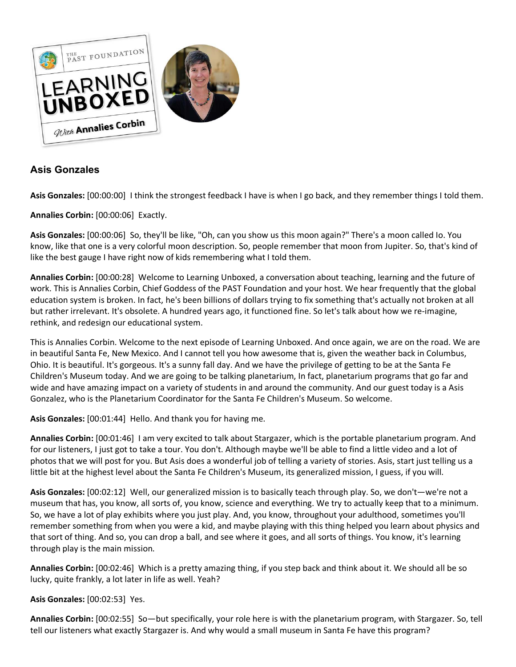

# **Asis Gonzales**

**Asis Gonzales:** [00:00:00] I think the strongest feedback I have is when I go back, and they remember things I told them.

**Annalies Corbin:** [00:00:06] Exactly.

**Asis Gonzales:** [00:00:06] So, they'll be like, "Oh, can you show us this moon again?" There's a moon called Io. You know, like that one is a very colorful moon description. So, people remember that moon from Jupiter. So, that's kind of like the best gauge I have right now of kids remembering what I told them.

**Annalies Corbin:** [00:00:28] Welcome to Learning Unboxed, a conversation about teaching, learning and the future of work. This is Annalies Corbin, Chief Goddess of the PAST Foundation and your host. We hear frequently that the global education system is broken. In fact, he's been billions of dollars trying to fix something that's actually not broken at all but rather irrelevant. It's obsolete. A hundred years ago, it functioned fine. So let's talk about how we re-imagine, rethink, and redesign our educational system.

This is Annalies Corbin. Welcome to the next episode of Learning Unboxed. And once again, we are on the road. We are in beautiful Santa Fe, New Mexico. And I cannot tell you how awesome that is, given the weather back in Columbus, Ohio. It is beautiful. It's gorgeous. It's a sunny fall day. And we have the privilege of getting to be at the Santa Fe Children's Museum today. And we are going to be talking planetarium, In fact, planetarium programs that go far and wide and have amazing impact on a variety of students in and around the community. And our guest today is a Asis Gonzalez, who is the Planetarium Coordinator for the Santa Fe Children's Museum. So welcome.

**Asis Gonzales:** [00:01:44] Hello. And thank you for having me.

**Annalies Corbin:** [00:01:46] I am very excited to talk about Stargazer, which is the portable planetarium program. And for our listeners, I just got to take a tour. You don't. Although maybe we'll be able to find a little video and a lot of photos that we will post for you. But Asis does a wonderful job of telling a variety of stories. Asis, start just telling us a little bit at the highest level about the Santa Fe Children's Museum, its generalized mission, I guess, if you will.

**Asis Gonzales:** [00:02:12] Well, our generalized mission is to basically teach through play. So, we don't—we're not a museum that has, you know, all sorts of, you know, science and everything. We try to actually keep that to a minimum. So, we have a lot of play exhibits where you just play. And, you know, throughout your adulthood, sometimes you'll remember something from when you were a kid, and maybe playing with this thing helped you learn about physics and that sort of thing. And so, you can drop a ball, and see where it goes, and all sorts of things. You know, it's learning through play is the main mission.

**Annalies Corbin:** [00:02:46] Which is a pretty amazing thing, if you step back and think about it. We should all be so lucky, quite frankly, a lot later in life as well. Yeah?

# **Asis Gonzales:** [00:02:53] Yes.

**Annalies Corbin:** [00:02:55] So—but specifically, your role here is with the planetarium program, with Stargazer. So, tell tell our listeners what exactly Stargazer is. And why would a small museum in Santa Fe have this program?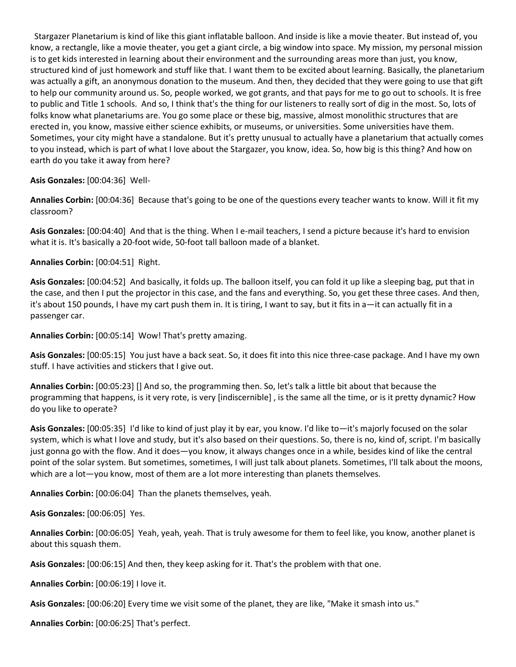Stargazer Planetarium is kind of like this giant inflatable balloon. And inside is like a movie theater. But instead of, you know, a rectangle, like a movie theater, you get a giant circle, a big window into space. My mission, my personal mission is to get kids interested in learning about their environment and the surrounding areas more than just, you know, structured kind of just homework and stuff like that. I want them to be excited about learning. Basically, the planetarium was actually a gift, an anonymous donation to the museum. And then, they decided that they were going to use that gift to help our community around us. So, people worked, we got grants, and that pays for me to go out to schools. It is free to public and Title 1 schools. And so, I think that's the thing for our listeners to really sort of dig in the most. So, lots of folks know what planetariums are. You go some place or these big, massive, almost monolithic structures that are erected in, you know, massive either science exhibits, or museums, or universities. Some universities have them. Sometimes, your city might have a standalone. But it's pretty unusual to actually have a planetarium that actually comes to you instead, which is part of what I love about the Stargazer, you know, idea. So, how big is this thing? And how on earth do you take it away from here?

## **Asis Gonzales:** [00:04:36] Well-

**Annalies Corbin:** [00:04:36] Because that's going to be one of the questions every teacher wants to know. Will it fit my classroom?

**Asis Gonzales:** [00:04:40] And that is the thing. When I e-mail teachers, I send a picture because it's hard to envision what it is. It's basically a 20-foot wide, 50-foot tall balloon made of a blanket.

## **Annalies Corbin:** [00:04:51] Right.

**Asis Gonzales:** [00:04:52] And basically, it folds up. The balloon itself, you can fold it up like a sleeping bag, put that in the case, and then I put the projector in this case, and the fans and everything. So, you get these three cases. And then, it's about 150 pounds, I have my cart push them in. It is tiring, I want to say, but it fits in a—it can actually fit in a passenger car.

**Annalies Corbin:** [00:05:14] Wow! That's pretty amazing.

**Asis Gonzales:** [00:05:15] You just have a back seat. So, it does fit into this nice three-case package. And I have my own stuff. I have activities and stickers that I give out.

**Annalies Corbin:** [00:05:23] [] And so, the programming then. So, let's talk a little bit about that because the programming that happens, is it very rote, is very [indiscernible] , is the same all the time, or is it pretty dynamic? How do you like to operate?

**Asis Gonzales:** [00:05:35] I'd like to kind of just play it by ear, you know. I'd like to—it's majorly focused on the solar system, which is what I love and study, but it's also based on their questions. So, there is no, kind of, script. I'm basically just gonna go with the flow. And it does—you know, it always changes once in a while, besides kind of like the central point of the solar system. But sometimes, sometimes, I will just talk about planets. Sometimes, I'll talk about the moons, which are a lot-you know, most of them are a lot more interesting than planets themselves.

**Annalies Corbin:** [00:06:04] Than the planets themselves, yeah.

**Asis Gonzales:** [00:06:05] Yes.

**Annalies Corbin:** [00:06:05] Yeah, yeah, yeah. That is truly awesome for them to feel like, you know, another planet is about this squash them.

**Asis Gonzales:** [00:06:15] And then, they keep asking for it. That's the problem with that one.

**Annalies Corbin:** [00:06:19] I love it.

**Asis Gonzales:** [00:06:20] Every time we visit some of the planet, they are like, "Make it smash into us."

**Annalies Corbin:** [00:06:25] That's perfect.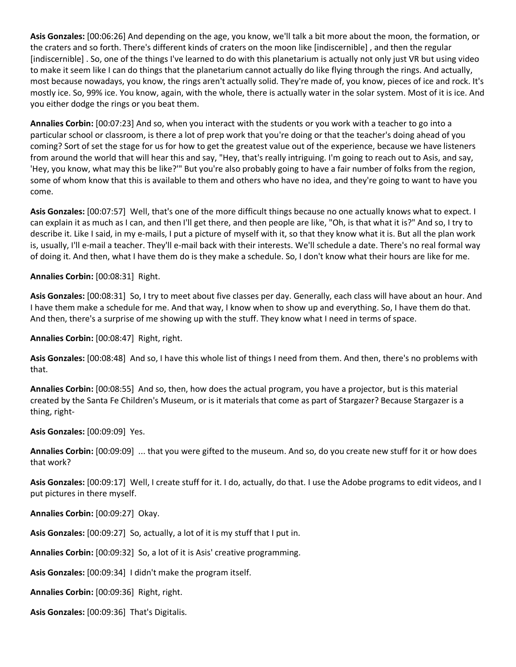**Asis Gonzales:** [00:06:26] And depending on the age, you know, we'll talk a bit more about the moon, the formation, or the craters and so forth. There's different kinds of craters on the moon like [indiscernible] , and then the regular [indiscernible] . So, one of the things I've learned to do with this planetarium is actually not only just VR but using video to make it seem like I can do things that the planetarium cannot actually do like flying through the rings. And actually, most because nowadays, you know, the rings aren't actually solid. They're made of, you know, pieces of ice and rock. It's mostly ice. So, 99% ice. You know, again, with the whole, there is actually water in the solar system. Most of it is ice. And you either dodge the rings or you beat them.

**Annalies Corbin:** [00:07:23] And so, when you interact with the students or you work with a teacher to go into a particular school or classroom, is there a lot of prep work that you're doing or that the teacher's doing ahead of you coming? Sort of set the stage for us for how to get the greatest value out of the experience, because we have listeners from around the world that will hear this and say, "Hey, that's really intriguing. I'm going to reach out to Asis, and say, 'Hey, you know, what may this be like?'" But you're also probably going to have a fair number of folks from the region, some of whom know that this is available to them and others who have no idea, and they're going to want to have you come.

**Asis Gonzales:** [00:07:57] Well, that's one of the more difficult things because no one actually knows what to expect. I can explain it as much as I can, and then I'll get there, and then people are like, "Oh, is that what it is?" And so, I try to describe it. Like I said, in my e-mails, I put a picture of myself with it, so that they know what it is. But all the plan work is, usually, I'll e-mail a teacher. They'll e-mail back with their interests. We'll schedule a date. There's no real formal way of doing it. And then, what I have them do is they make a schedule. So, I don't know what their hours are like for me.

**Annalies Corbin:** [00:08:31] Right.

**Asis Gonzales:** [00:08:31] So, I try to meet about five classes per day. Generally, each class will have about an hour. And I have them make a schedule for me. And that way, I know when to show up and everything. So, I have them do that. And then, there's a surprise of me showing up with the stuff. They know what I need in terms of space.

**Annalies Corbin:** [00:08:47] Right, right.

**Asis Gonzales:** [00:08:48] And so, I have this whole list of things I need from them. And then, there's no problems with that.

**Annalies Corbin:** [00:08:55] And so, then, how does the actual program, you have a projector, but is this material created by the Santa Fe Children's Museum, or is it materials that come as part of Stargazer? Because Stargazer is a thing, right-

**Asis Gonzales:** [00:09:09] Yes.

**Annalies Corbin:** [00:09:09] ... that you were gifted to the museum. And so, do you create new stuff for it or how does that work?

**Asis Gonzales:** [00:09:17] Well, I create stuff for it. I do, actually, do that. I use the Adobe programs to edit videos, and I put pictures in there myself.

**Annalies Corbin:** [00:09:27] Okay.

**Asis Gonzales:** [00:09:27] So, actually, a lot of it is my stuff that I put in.

**Annalies Corbin:** [00:09:32] So, a lot of it is Asis' creative programming.

**Asis Gonzales:** [00:09:34] I didn't make the program itself.

**Annalies Corbin:** [00:09:36] Right, right.

**Asis Gonzales:** [00:09:36] That's Digitalis.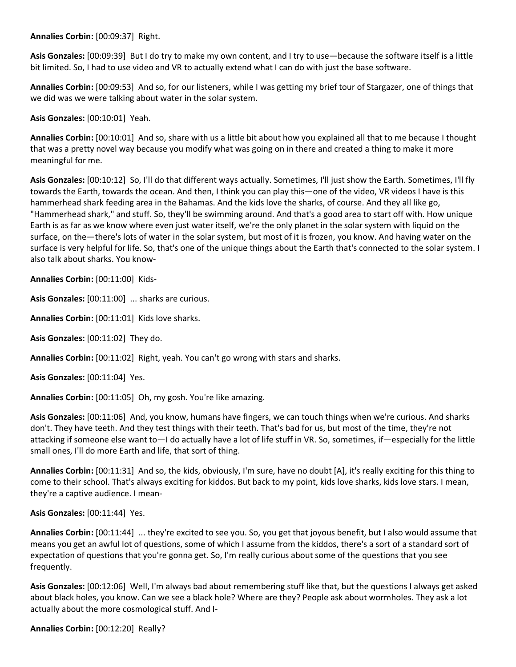**Annalies Corbin:** [00:09:37] Right.

**Asis Gonzales:** [00:09:39] But I do try to make my own content, and I try to use—because the software itself is a little bit limited. So, I had to use video and VR to actually extend what I can do with just the base software.

**Annalies Corbin:** [00:09:53] And so, for our listeners, while I was getting my brief tour of Stargazer, one of things that we did was we were talking about water in the solar system.

**Asis Gonzales:** [00:10:01] Yeah.

**Annalies Corbin:** [00:10:01] And so, share with us a little bit about how you explained all that to me because I thought that was a pretty novel way because you modify what was going on in there and created a thing to make it more meaningful for me.

**Asis Gonzales:** [00:10:12] So, I'll do that different ways actually. Sometimes, I'll just show the Earth. Sometimes, I'll fly towards the Earth, towards the ocean. And then, I think you can play this—one of the video, VR videos I have is this hammerhead shark feeding area in the Bahamas. And the kids love the sharks, of course. And they all like go, "Hammerhead shark," and stuff. So, they'll be swimming around. And that's a good area to start off with. How unique Earth is as far as we know where even just water itself, we're the only planet in the solar system with liquid on the surface, on the—there's lots of water in the solar system, but most of it is frozen, you know. And having water on the surface is very helpful for life. So, that's one of the unique things about the Earth that's connected to the solar system. I also talk about sharks. You know-

**Annalies Corbin:** [00:11:00] Kids-

**Asis Gonzales:** [00:11:00] ... sharks are curious.

**Annalies Corbin:** [00:11:01] Kids love sharks.

**Asis Gonzales:** [00:11:02] They do.

**Annalies Corbin:** [00:11:02] Right, yeah. You can't go wrong with stars and sharks.

**Asis Gonzales:** [00:11:04] Yes.

**Annalies Corbin:** [00:11:05] Oh, my gosh. You're like amazing.

**Asis Gonzales:** [00:11:06] And, you know, humans have fingers, we can touch things when we're curious. And sharks don't. They have teeth. And they test things with their teeth. That's bad for us, but most of the time, they're not attacking if someone else want to—I do actually have a lot of life stuff in VR. So, sometimes, if—especially for the little small ones, I'll do more Earth and life, that sort of thing.

**Annalies Corbin:** [00:11:31] And so, the kids, obviously, I'm sure, have no doubt [A], it's really exciting for this thing to come to their school. That's always exciting for kiddos. But back to my point, kids love sharks, kids love stars. I mean, they're a captive audience. I mean-

#### **Asis Gonzales:** [00:11:44] Yes.

**Annalies Corbin:** [00:11:44] ... they're excited to see you. So, you get that joyous benefit, but I also would assume that means you get an awful lot of questions, some of which I assume from the kiddos, there's a sort of a standard sort of expectation of questions that you're gonna get. So, I'm really curious about some of the questions that you see frequently.

**Asis Gonzales:** [00:12:06] Well, I'm always bad about remembering stuff like that, but the questions I always get asked about black holes, you know. Can we see a black hole? Where are they? People ask about wormholes. They ask a lot actually about the more cosmological stuff. And I-

**Annalies Corbin:** [00:12:20] Really?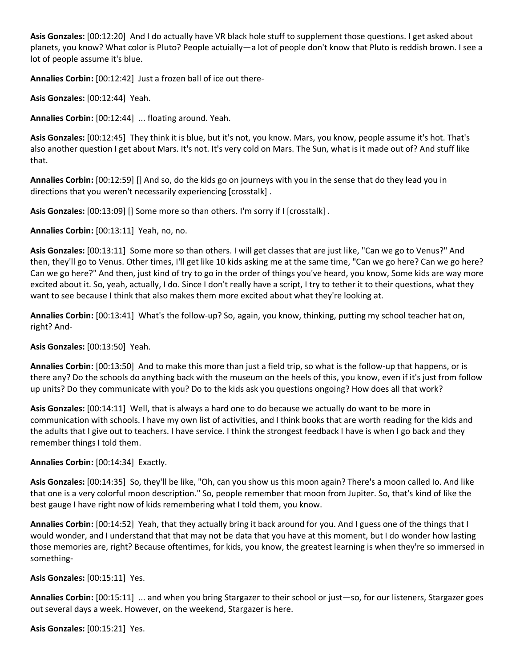**Asis Gonzales:** [00:12:20] And I do actually have VR black hole stuff to supplement those questions. I get asked about planets, you know? What color is Pluto? People actuially—a lot of people don't know that Pluto is reddish brown. I see a lot of people assume it's blue.

**Annalies Corbin:** [00:12:42] Just a frozen ball of ice out there-

**Asis Gonzales:** [00:12:44] Yeah.

**Annalies Corbin:** [00:12:44] ... floating around. Yeah.

**Asis Gonzales:** [00:12:45] They think it is blue, but it's not, you know. Mars, you know, people assume it's hot. That's also another question I get about Mars. It's not. It's very cold on Mars. The Sun, what is it made out of? And stuff like that.

**Annalies Corbin:** [00:12:59] [] And so, do the kids go on journeys with you in the sense that do they lead you in directions that you weren't necessarily experiencing [crosstalk] .

**Asis Gonzales:** [00:13:09] [] Some more so than others. I'm sorry if I [crosstalk] .

**Annalies Corbin:** [00:13:11] Yeah, no, no.

**Asis Gonzales:** [00:13:11] Some more so than others. I will get classes that are just like, "Can we go to Venus?" And then, they'll go to Venus. Other times, I'll get like 10 kids asking me at the same time, "Can we go here? Can we go here? Can we go here?" And then, just kind of try to go in the order of things you've heard, you know, Some kids are way more excited about it. So, yeah, actually, I do. Since I don't really have a script, I try to tether it to their questions, what they want to see because I think that also makes them more excited about what they're looking at.

**Annalies Corbin:** [00:13:41] What's the follow-up? So, again, you know, thinking, putting my school teacher hat on, right? And-

**Asis Gonzales:** [00:13:50] Yeah.

**Annalies Corbin:** [00:13:50] And to make this more than just a field trip, so what is the follow-up that happens, or is there any? Do the schools do anything back with the museum on the heels of this, you know, even if it's just from follow up units? Do they communicate with you? Do to the kids ask you questions ongoing? How does all that work?

**Asis Gonzales:** [00:14:11] Well, that is always a hard one to do because we actually do want to be more in communication with schools. I have my own list of activities, and I think books that are worth reading for the kids and the adults that I give out to teachers. I have service. I think the strongest feedback I have is when I go back and they remember things I told them.

#### **Annalies Corbin:** [00:14:34] Exactly.

**Asis Gonzales:** [00:14:35] So, they'll be like, "Oh, can you show us this moon again? There's a moon called Io. And like that one is a very colorful moon description." So, people remember that moon from Jupiter. So, that's kind of like the best gauge I have right now of kids remembering what I told them, you know.

**Annalies Corbin:** [00:14:52] Yeah, that they actually bring it back around for you. And I guess one of the things that I would wonder, and I understand that that may not be data that you have at this moment, but I do wonder how lasting those memories are, right? Because oftentimes, for kids, you know, the greatest learning is when they're so immersed in something-

#### **Asis Gonzales:** [00:15:11] Yes.

**Annalies Corbin:** [00:15:11] ... and when you bring Stargazer to their school or just—so, for our listeners, Stargazer goes out several days a week. However, on the weekend, Stargazer is here.

**Asis Gonzales:** [00:15:21] Yes.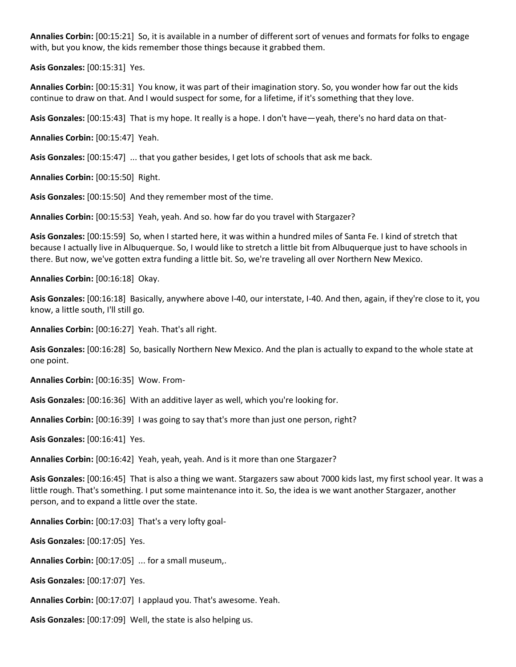**Annalies Corbin:** [00:15:21] So, it is available in a number of different sort of venues and formats for folks to engage with, but you know, the kids remember those things because it grabbed them.

**Asis Gonzales:** [00:15:31] Yes.

**Annalies Corbin:** [00:15:31] You know, it was part of their imagination story. So, you wonder how far out the kids continue to draw on that. And I would suspect for some, for a lifetime, if it's something that they love.

**Asis Gonzales:** [00:15:43] That is my hope. It really is a hope. I don't have—yeah, there's no hard data on that-

**Annalies Corbin:** [00:15:47] Yeah.

**Asis Gonzales:** [00:15:47] ... that you gather besides, I get lots of schools that ask me back.

**Annalies Corbin:** [00:15:50] Right.

**Asis Gonzales:** [00:15:50] And they remember most of the time.

**Annalies Corbin:** [00:15:53] Yeah, yeah. And so. how far do you travel with Stargazer?

**Asis Gonzales:** [00:15:59] So, when I started here, it was within a hundred miles of Santa Fe. I kind of stretch that because I actually live in Albuquerque. So, I would like to stretch a little bit from Albuquerque just to have schools in there. But now, we've gotten extra funding a little bit. So, we're traveling all over Northern New Mexico.

**Annalies Corbin:** [00:16:18] Okay.

**Asis Gonzales:** [00:16:18] Basically, anywhere above I-40, our interstate, I-40. And then, again, if they're close to it, you know, a little south, I'll still go.

**Annalies Corbin:** [00:16:27] Yeah. That's all right.

**Asis Gonzales:** [00:16:28] So, basically Northern New Mexico. And the plan is actually to expand to the whole state at one point.

**Annalies Corbin:** [00:16:35] Wow. From-

**Asis Gonzales:** [00:16:36] With an additive layer as well, which you're looking for.

**Annalies Corbin:** [00:16:39] I was going to say that's more than just one person, right?

**Asis Gonzales:** [00:16:41] Yes.

**Annalies Corbin:** [00:16:42] Yeah, yeah, yeah. And is it more than one Stargazer?

**Asis Gonzales:** [00:16:45] That is also a thing we want. Stargazers saw about 7000 kids last, my first school year. It was a little rough. That's something. I put some maintenance into it. So, the idea is we want another Stargazer, another person, and to expand a little over the state.

**Annalies Corbin:** [00:17:03] That's a very lofty goal-

**Asis Gonzales:** [00:17:05] Yes.

**Annalies Corbin:** [00:17:05] ... for a small museum,.

**Asis Gonzales:** [00:17:07] Yes.

**Annalies Corbin:** [00:17:07] I applaud you. That's awesome. Yeah.

**Asis Gonzales:** [00:17:09] Well, the state is also helping us.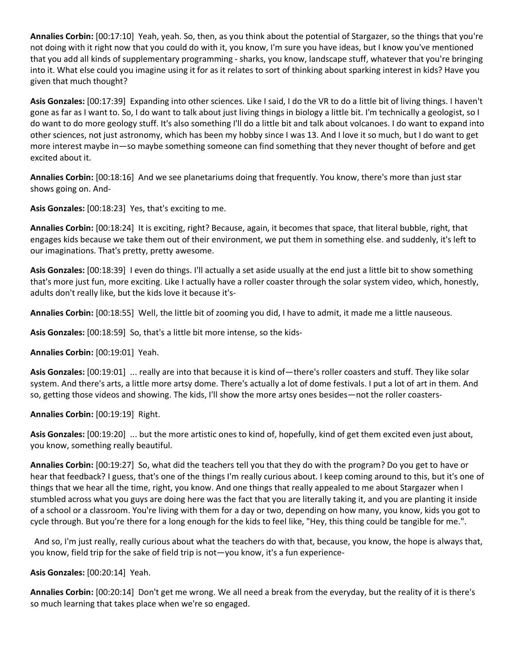**Annalies Corbin:** [00:17:10] Yeah, yeah. So, then, as you think about the potential of Stargazer, so the things that you're not doing with it right now that you could do with it, you know, I'm sure you have ideas, but I know you've mentioned that you add all kinds of supplementary programming - sharks, you know, landscape stuff, whatever that you're bringing into it. What else could you imagine using it for as it relates to sort of thinking about sparking interest in kids? Have you given that much thought?

**Asis Gonzales:** [00:17:39] Expanding into other sciences. Like I said, I do the VR to do a little bit of living things. I haven't gone as far as I want to. So, I do want to talk about just living things in biology a little bit. I'm technically a geologist, so I do want to do more geology stuff. It's also something I'll do a little bit and talk about volcanoes. I do want to expand into other sciences, not just astronomy, which has been my hobby since I was 13. And I love it so much, but I do want to get more interest maybe in—so maybe something someone can find something that they never thought of before and get excited about it.

**Annalies Corbin:** [00:18:16] And we see planetariums doing that frequently. You know, there's more than just star shows going on. And-

**Asis Gonzales:** [00:18:23] Yes, that's exciting to me.

**Annalies Corbin:** [00:18:24] It is exciting, right? Because, again, it becomes that space, that literal bubble, right, that engages kids because we take them out of their environment, we put them in something else. and suddenly, it's left to our imaginations. That's pretty, pretty awesome.

**Asis Gonzales:** [00:18:39] I even do things. I'll actually a set aside usually at the end just a little bit to show something that's more just fun, more exciting. Like I actually have a roller coaster through the solar system video, which, honestly, adults don't really like, but the kids love it because it's-

**Annalies Corbin:** [00:18:55] Well, the little bit of zooming you did, I have to admit, it made me a little nauseous.

**Asis Gonzales:** [00:18:59] So, that's a little bit more intense, so the kids-

**Annalies Corbin:** [00:19:01] Yeah.

**Asis Gonzales:** [00:19:01] ... really are into that because it is kind of—there's roller coasters and stuff. They like solar system. And there's arts, a little more artsy dome. There's actually a lot of dome festivals. I put a lot of art in them. And so, getting those videos and showing. The kids, I'll show the more artsy ones besides—not the roller coasters-

**Annalies Corbin:** [00:19:19] Right.

**Asis Gonzales:** [00:19:20] ... but the more artistic ones to kind of, hopefully, kind of get them excited even just about, you know, something really beautiful.

**Annalies Corbin:** [00:19:27] So, what did the teachers tell you that they do with the program? Do you get to have or hear that feedback? I guess, that's one of the things I'm really curious about. I keep coming around to this, but it's one of things that we hear all the time, right, you know. And one things that really appealed to me about Stargazer when I stumbled across what you guys are doing here was the fact that you are literally taking it, and you are planting it inside of a school or a classroom. You're living with them for a day or two, depending on how many, you know, kids you got to cycle through. But you're there for a long enough for the kids to feel like, "Hey, this thing could be tangible for me.".

 And so, I'm just really, really curious about what the teachers do with that, because, you know, the hope is always that, you know, field trip for the sake of field trip is not—you know, it's a fun experience-

**Asis Gonzales:** [00:20:14] Yeah.

**Annalies Corbin:** [00:20:14] Don't get me wrong. We all need a break from the everyday, but the reality of it is there's so much learning that takes place when we're so engaged.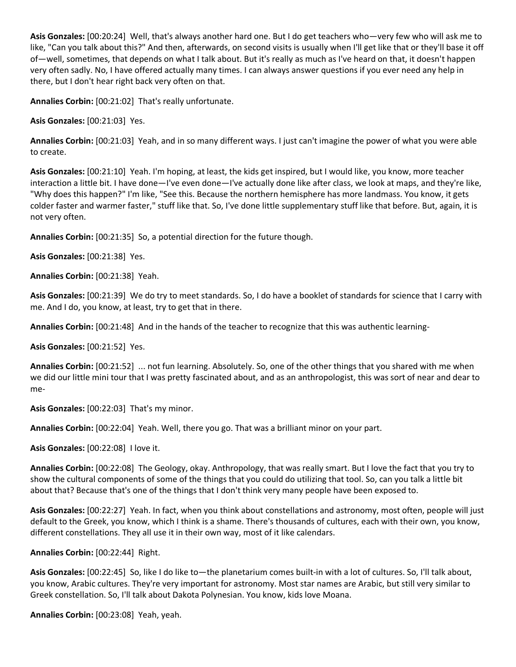**Asis Gonzales:** [00:20:24] Well, that's always another hard one. But I do get teachers who—very few who will ask me to like, "Can you talk about this?" And then, afterwards, on second visits is usually when I'll get like that or they'll base it off of—well, sometimes, that depends on what I talk about. But it's really as much as I've heard on that, it doesn't happen very often sadly. No, I have offered actually many times. I can always answer questions if you ever need any help in there, but I don't hear right back very often on that.

**Annalies Corbin:** [00:21:02] That's really unfortunate.

**Asis Gonzales:** [00:21:03] Yes.

**Annalies Corbin:** [00:21:03] Yeah, and in so many different ways. I just can't imagine the power of what you were able to create.

**Asis Gonzales:** [00:21:10] Yeah. I'm hoping, at least, the kids get inspired, but I would like, you know, more teacher interaction a little bit. I have done—I've even done—I've actually done like after class, we look at maps, and they're like, "Why does this happen?" I'm like, "See this. Because the northern hemisphere has more landmass. You know, it gets colder faster and warmer faster," stuff like that. So, I've done little supplementary stuff like that before. But, again, it is not very often.

**Annalies Corbin:** [00:21:35] So, a potential direction for the future though.

**Asis Gonzales:** [00:21:38] Yes.

**Annalies Corbin:** [00:21:38] Yeah.

**Asis Gonzales:** [00:21:39] We do try to meet standards. So, I do have a booklet of standards for science that I carry with me. And I do, you know, at least, try to get that in there.

**Annalies Corbin:** [00:21:48] And in the hands of the teacher to recognize that this was authentic learning-

**Asis Gonzales:** [00:21:52] Yes.

**Annalies Corbin:** [00:21:52] ... not fun learning. Absolutely. So, one of the other things that you shared with me when we did our little mini tour that I was pretty fascinated about, and as an anthropologist, this was sort of near and dear to me-

**Asis Gonzales:** [00:22:03] That's my minor.

**Annalies Corbin:** [00:22:04] Yeah. Well, there you go. That was a brilliant minor on your part.

**Asis Gonzales:** [00:22:08] I love it.

**Annalies Corbin:** [00:22:08] The Geology, okay. Anthropology, that was really smart. But I love the fact that you try to show the cultural components of some of the things that you could do utilizing that tool. So, can you talk a little bit about that? Because that's one of the things that I don't think very many people have been exposed to.

**Asis Gonzales:** [00:22:27] Yeah. In fact, when you think about constellations and astronomy, most often, people will just default to the Greek, you know, which I think is a shame. There's thousands of cultures, each with their own, you know, different constellations. They all use it in their own way, most of it like calendars.

**Annalies Corbin:** [00:22:44] Right.

**Asis Gonzales:** [00:22:45] So, like I do like to—the planetarium comes built-in with a lot of cultures. So, I'll talk about, you know, Arabic cultures. They're very important for astronomy. Most star names are Arabic, but still very similar to Greek constellation. So, I'll talk about Dakota Polynesian. You know, kids love Moana.

**Annalies Corbin:** [00:23:08] Yeah, yeah.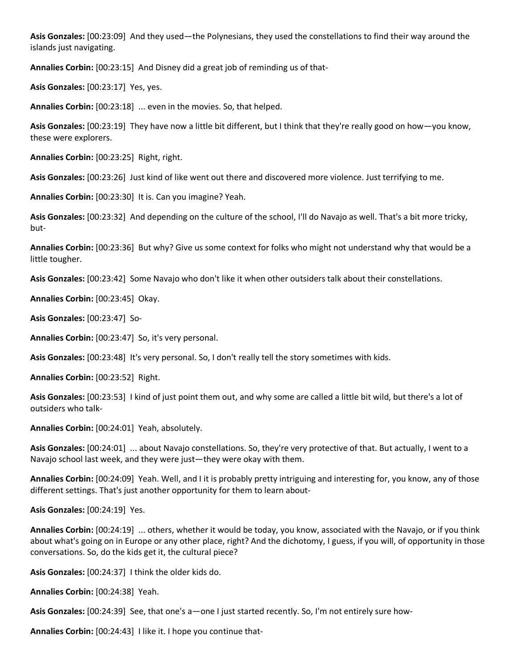**Asis Gonzales:** [00:23:09] And they used—the Polynesians, they used the constellations to find their way around the islands just navigating.

**Annalies Corbin:** [00:23:15] And Disney did a great job of reminding us of that-

**Asis Gonzales:** [00:23:17] Yes, yes.

**Annalies Corbin:** [00:23:18] ... even in the movies. So, that helped.

**Asis Gonzales:** [00:23:19] They have now a little bit different, but I think that they're really good on how—you know, these were explorers.

**Annalies Corbin:** [00:23:25] Right, right.

**Asis Gonzales:** [00:23:26] Just kind of like went out there and discovered more violence. Just terrifying to me.

**Annalies Corbin:** [00:23:30] It is. Can you imagine? Yeah.

**Asis Gonzales:** [00:23:32] And depending on the culture of the school, I'll do Navajo as well. That's a bit more tricky, but-

**Annalies Corbin:** [00:23:36] But why? Give us some context for folks who might not understand why that would be a little tougher.

**Asis Gonzales:** [00:23:42] Some Navajo who don't like it when other outsiders talk about their constellations.

**Annalies Corbin:** [00:23:45] Okay.

**Asis Gonzales:** [00:23:47] So-

**Annalies Corbin:** [00:23:47] So, it's very personal.

**Asis Gonzales:** [00:23:48] It's very personal. So, I don't really tell the story sometimes with kids.

**Annalies Corbin:** [00:23:52] Right.

**Asis Gonzales:** [00:23:53] I kind of just point them out, and why some are called a little bit wild, but there's a lot of outsiders who talk-

**Annalies Corbin:** [00:24:01] Yeah, absolutely.

**Asis Gonzales:** [00:24:01] ... about Navajo constellations. So, they're very protective of that. But actually, I went to a Navajo school last week, and they were just—they were okay with them.

**Annalies Corbin:** [00:24:09] Yeah. Well, and I it is probably pretty intriguing and interesting for, you know, any of those different settings. That's just another opportunity for them to learn about-

**Asis Gonzales:** [00:24:19] Yes.

**Annalies Corbin:** [00:24:19] ... others, whether it would be today, you know, associated with the Navajo, or if you think about what's going on in Europe or any other place, right? And the dichotomy, I guess, if you will, of opportunity in those conversations. So, do the kids get it, the cultural piece?

**Asis Gonzales:** [00:24:37] I think the older kids do.

**Annalies Corbin:** [00:24:38] Yeah.

**Asis Gonzales:** [00:24:39] See, that one's a—one I just started recently. So, I'm not entirely sure how-

**Annalies Corbin:** [00:24:43] I like it. I hope you continue that-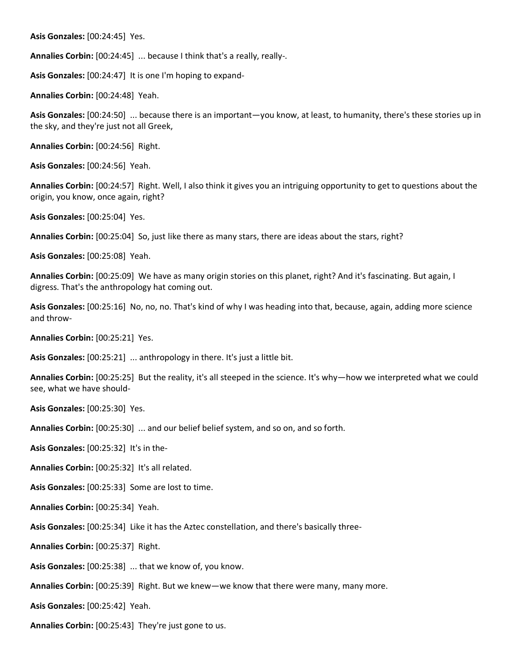**Asis Gonzales:** [00:24:45] Yes.

**Annalies Corbin:** [00:24:45] ... because I think that's a really, really-.

**Asis Gonzales:** [00:24:47] It is one I'm hoping to expand-

**Annalies Corbin:** [00:24:48] Yeah.

**Asis Gonzales:** [00:24:50] ... because there is an important—you know, at least, to humanity, there's these stories up in the sky, and they're just not all Greek,

**Annalies Corbin:** [00:24:56] Right.

**Asis Gonzales:** [00:24:56] Yeah.

**Annalies Corbin:** [00:24:57] Right. Well, I also think it gives you an intriguing opportunity to get to questions about the origin, you know, once again, right?

**Asis Gonzales:** [00:25:04] Yes.

**Annalies Corbin:** [00:25:04] So, just like there as many stars, there are ideas about the stars, right?

**Asis Gonzales:** [00:25:08] Yeah.

**Annalies Corbin:** [00:25:09] We have as many origin stories on this planet, right? And it's fascinating. But again, I digress. That's the anthropology hat coming out.

**Asis Gonzales:** [00:25:16] No, no, no. That's kind of why I was heading into that, because, again, adding more science and throw-

**Annalies Corbin:** [00:25:21] Yes.

**Asis Gonzales:** [00:25:21] ... anthropology in there. It's just a little bit.

**Annalies Corbin:** [00:25:25] But the reality, it's all steeped in the science. It's why—how we interpreted what we could see, what we have should-

**Asis Gonzales:** [00:25:30] Yes.

**Annalies Corbin:** [00:25:30] ... and our belief belief system, and so on, and so forth.

**Asis Gonzales:** [00:25:32] It's in the-

**Annalies Corbin:** [00:25:32] It's all related.

**Asis Gonzales:** [00:25:33] Some are lost to time.

**Annalies Corbin:** [00:25:34] Yeah.

**Asis Gonzales:** [00:25:34] Like it has the Aztec constellation, and there's basically three-

**Annalies Corbin:** [00:25:37] Right.

**Asis Gonzales:** [00:25:38] ... that we know of, you know.

**Annalies Corbin:** [00:25:39] Right. But we knew—we know that there were many, many more.

**Asis Gonzales:** [00:25:42] Yeah.

**Annalies Corbin:** [00:25:43] They're just gone to us.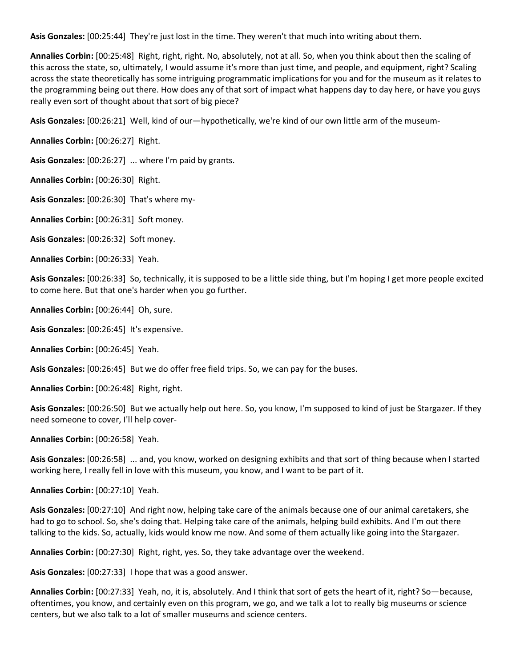**Asis Gonzales:** [00:25:44] They're just lost in the time. They weren't that much into writing about them.

**Annalies Corbin:** [00:25:48] Right, right, right. No, absolutely, not at all. So, when you think about then the scaling of this across the state, so, ultimately, I would assume it's more than just time, and people, and equipment, right? Scaling across the state theoretically has some intriguing programmatic implications for you and for the museum as it relates to the programming being out there. How does any of that sort of impact what happens day to day here, or have you guys really even sort of thought about that sort of big piece?

**Asis Gonzales:** [00:26:21] Well, kind of our—hypothetically, we're kind of our own little arm of the museum-

**Annalies Corbin:** [00:26:27] Right.

**Asis Gonzales:** [00:26:27] ... where I'm paid by grants.

**Annalies Corbin:** [00:26:30] Right.

**Asis Gonzales:** [00:26:30] That's where my-

**Annalies Corbin:** [00:26:31] Soft money.

**Asis Gonzales:** [00:26:32] Soft money.

**Annalies Corbin:** [00:26:33] Yeah.

**Asis Gonzales:** [00:26:33] So, technically, it is supposed to be a little side thing, but I'm hoping I get more people excited to come here. But that one's harder when you go further.

**Annalies Corbin:** [00:26:44] Oh, sure.

**Asis Gonzales:** [00:26:45] It's expensive.

**Annalies Corbin:** [00:26:45] Yeah.

**Asis Gonzales:** [00:26:45] But we do offer free field trips. So, we can pay for the buses.

**Annalies Corbin:** [00:26:48] Right, right.

**Asis Gonzales:** [00:26:50] But we actually help out here. So, you know, I'm supposed to kind of just be Stargazer. If they need someone to cover, I'll help cover-

**Annalies Corbin:** [00:26:58] Yeah.

**Asis Gonzales:** [00:26:58] ... and, you know, worked on designing exhibits and that sort of thing because when I started working here, I really fell in love with this museum, you know, and I want to be part of it.

**Annalies Corbin:** [00:27:10] Yeah.

**Asis Gonzales:** [00:27:10] And right now, helping take care of the animals because one of our animal caretakers, she had to go to school. So, she's doing that. Helping take care of the animals, helping build exhibits. And I'm out there talking to the kids. So, actually, kids would know me now. And some of them actually like going into the Stargazer.

**Annalies Corbin:** [00:27:30] Right, right, yes. So, they take advantage over the weekend.

**Asis Gonzales:** [00:27:33] I hope that was a good answer.

**Annalies Corbin:** [00:27:33] Yeah, no, it is, absolutely. And I think that sort of gets the heart of it, right? So—because, oftentimes, you know, and certainly even on this program, we go, and we talk a lot to really big museums or science centers, but we also talk to a lot of smaller museums and science centers.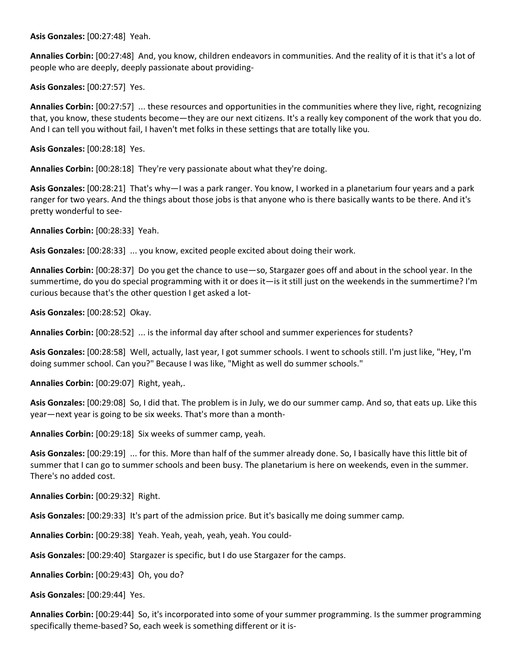**Asis Gonzales:** [00:27:48] Yeah.

**Annalies Corbin:** [00:27:48] And, you know, children endeavors in communities. And the reality of it is that it's a lot of people who are deeply, deeply passionate about providing-

**Asis Gonzales:** [00:27:57] Yes.

**Annalies Corbin:** [00:27:57] ... these resources and opportunities in the communities where they live, right, recognizing that, you know, these students become—they are our next citizens. It's a really key component of the work that you do. And I can tell you without fail, I haven't met folks in these settings that are totally like you.

**Asis Gonzales:** [00:28:18] Yes.

**Annalies Corbin:** [00:28:18] They're very passionate about what they're doing.

**Asis Gonzales:** [00:28:21] That's why—I was a park ranger. You know, I worked in a planetarium four years and a park ranger for two years. And the things about those jobs is that anyone who is there basically wants to be there. And it's pretty wonderful to see-

**Annalies Corbin:** [00:28:33] Yeah.

**Asis Gonzales:** [00:28:33] ... you know, excited people excited about doing their work.

**Annalies Corbin:** [00:28:37] Do you get the chance to use—so, Stargazer goes off and about in the school year. In the summertime, do you do special programming with it or does it—is it still just on the weekends in the summertime? I'm curious because that's the other question I get asked a lot-

**Asis Gonzales:** [00:28:52] Okay.

**Annalies Corbin:** [00:28:52] ... is the informal day after school and summer experiences for students?

**Asis Gonzales:** [00:28:58] Well, actually, last year, I got summer schools. I went to schools still. I'm just like, "Hey, I'm doing summer school. Can you?" Because I was like, "Might as well do summer schools."

**Annalies Corbin:** [00:29:07] Right, yeah,.

**Asis Gonzales:** [00:29:08] So, I did that. The problem is in July, we do our summer camp. And so, that eats up. Like this year—next year is going to be six weeks. That's more than a month-

**Annalies Corbin:** [00:29:18] Six weeks of summer camp, yeah.

**Asis Gonzales:** [00:29:19] ... for this. More than half of the summer already done. So, I basically have this little bit of summer that I can go to summer schools and been busy. The planetarium is here on weekends, even in the summer. There's no added cost.

**Annalies Corbin:** [00:29:32] Right.

**Asis Gonzales:** [00:29:33] It's part of the admission price. But it's basically me doing summer camp.

**Annalies Corbin:** [00:29:38] Yeah. Yeah, yeah, yeah, yeah. You could-

**Asis Gonzales:** [00:29:40] Stargazer is specific, but I do use Stargazer for the camps.

**Annalies Corbin:** [00:29:43] Oh, you do?

**Asis Gonzales:** [00:29:44] Yes.

**Annalies Corbin:** [00:29:44] So, it's incorporated into some of your summer programming. Is the summer programming specifically theme-based? So, each week is something different or it is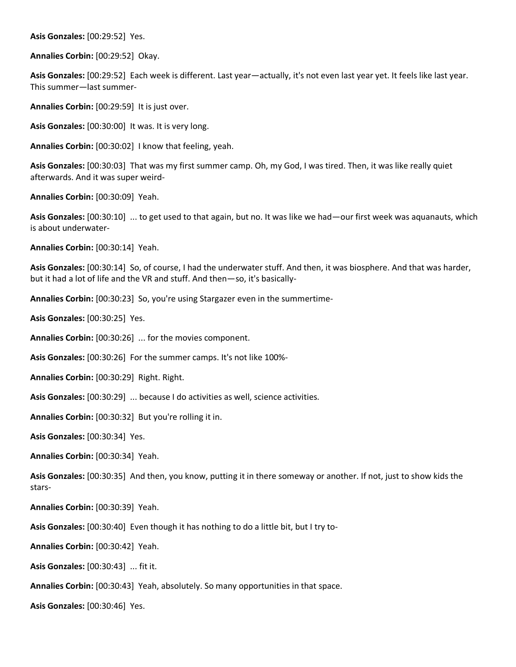**Asis Gonzales:** [00:29:52] Yes.

**Annalies Corbin:** [00:29:52] Okay.

**Asis Gonzales:** [00:29:52] Each week is different. Last year—actually, it's not even last year yet. It feels like last year. This summer—last summer-

**Annalies Corbin:** [00:29:59] It is just over.

**Asis Gonzales:** [00:30:00] It was. It is very long.

**Annalies Corbin:** [00:30:02] I know that feeling, yeah.

**Asis Gonzales:** [00:30:03] That was my first summer camp. Oh, my God, I was tired. Then, it was like really quiet afterwards. And it was super weird-

**Annalies Corbin:** [00:30:09] Yeah.

**Asis Gonzales:** [00:30:10] ... to get used to that again, but no. It was like we had—our first week was aquanauts, which is about underwater-

**Annalies Corbin:** [00:30:14] Yeah.

**Asis Gonzales:** [00:30:14] So, of course, I had the underwater stuff. And then, it was biosphere. And that was harder, but it had a lot of life and the VR and stuff. And then—so, it's basically-

**Annalies Corbin:** [00:30:23] So, you're using Stargazer even in the summertime-

**Asis Gonzales:** [00:30:25] Yes.

**Annalies Corbin:** [00:30:26] ... for the movies component.

**Asis Gonzales:** [00:30:26] For the summer camps. It's not like 100%-

**Annalies Corbin:** [00:30:29] Right. Right.

**Asis Gonzales:** [00:30:29] ... because I do activities as well, science activities.

**Annalies Corbin:** [00:30:32] But you're rolling it in.

**Asis Gonzales:** [00:30:34] Yes.

**Annalies Corbin:** [00:30:34] Yeah.

**Asis Gonzales:** [00:30:35] And then, you know, putting it in there someway or another. If not, just to show kids the stars-

**Annalies Corbin:** [00:30:39] Yeah.

**Asis Gonzales:** [00:30:40] Even though it has nothing to do a little bit, but I try to-

**Annalies Corbin:** [00:30:42] Yeah.

**Asis Gonzales:** [00:30:43] ... fit it.

**Annalies Corbin:** [00:30:43] Yeah, absolutely. So many opportunities in that space.

**Asis Gonzales:** [00:30:46] Yes.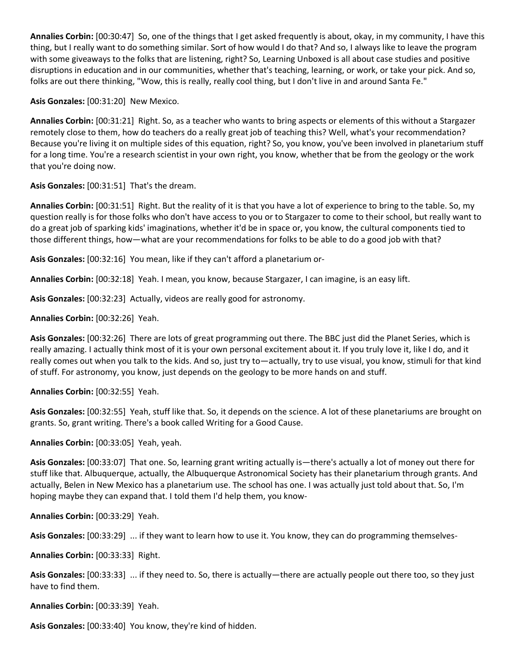**Annalies Corbin:** [00:30:47] So, one of the things that I get asked frequently is about, okay, in my community, I have this thing, but I really want to do something similar. Sort of how would I do that? And so, I always like to leave the program with some giveaways to the folks that are listening, right? So, Learning Unboxed is all about case studies and positive disruptions in education and in our communities, whether that's teaching, learning, or work, or take your pick. And so, folks are out there thinking, "Wow, this is really, really cool thing, but I don't live in and around Santa Fe."

**Asis Gonzales:** [00:31:20] New Mexico.

**Annalies Corbin:** [00:31:21] Right. So, as a teacher who wants to bring aspects or elements of this without a Stargazer remotely close to them, how do teachers do a really great job of teaching this? Well, what's your recommendation? Because you're living it on multiple sides of this equation, right? So, you know, you've been involved in planetarium stuff for a long time. You're a research scientist in your own right, you know, whether that be from the geology or the work that you're doing now.

**Asis Gonzales:** [00:31:51] That's the dream.

**Annalies Corbin:** [00:31:51] Right. But the reality of it is that you have a lot of experience to bring to the table. So, my question really is for those folks who don't have access to you or to Stargazer to come to their school, but really want to do a great job of sparking kids' imaginations, whether it'd be in space or, you know, the cultural components tied to those different things, how—what are your recommendations for folks to be able to do a good job with that?

**Asis Gonzales:** [00:32:16] You mean, like if they can't afford a planetarium or-

**Annalies Corbin:** [00:32:18] Yeah. I mean, you know, because Stargazer, I can imagine, is an easy lift.

**Asis Gonzales:** [00:32:23] Actually, videos are really good for astronomy.

**Annalies Corbin:** [00:32:26] Yeah.

**Asis Gonzales:** [00:32:26] There are lots of great programming out there. The BBC just did the Planet Series, which is really amazing. I actually think most of it is your own personal excitement about it. If you truly love it, like I do, and it really comes out when you talk to the kids. And so, just try to—actually, try to use visual, you know, stimuli for that kind of stuff. For astronomy, you know, just depends on the geology to be more hands on and stuff.

**Annalies Corbin:** [00:32:55] Yeah.

**Asis Gonzales:** [00:32:55] Yeah, stuff like that. So, it depends on the science. A lot of these planetariums are brought on grants. So, grant writing. There's a book called Writing for a Good Cause.

**Annalies Corbin:** [00:33:05] Yeah, yeah.

**Asis Gonzales:** [00:33:07] That one. So, learning grant writing actually is—there's actually a lot of money out there for stuff like that. Albuquerque, actually, the Albuquerque Astronomical Society has their planetarium through grants. And actually, Belen in New Mexico has a planetarium use. The school has one. I was actually just told about that. So, I'm hoping maybe they can expand that. I told them I'd help them, you know-

**Annalies Corbin:** [00:33:29] Yeah.

**Asis Gonzales:** [00:33:29] ... if they want to learn how to use it. You know, they can do programming themselves-

**Annalies Corbin:** [00:33:33] Right.

**Asis Gonzales:** [00:33:33] ... if they need to. So, there is actually—there are actually people out there too, so they just have to find them.

**Annalies Corbin:** [00:33:39] Yeah.

**Asis Gonzales:** [00:33:40] You know, they're kind of hidden.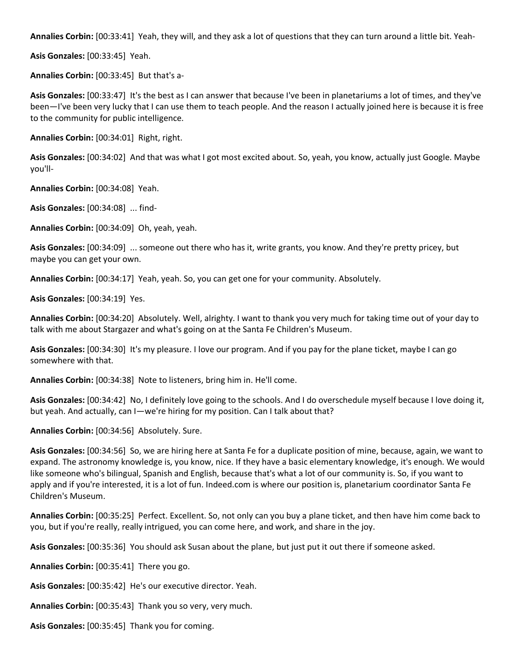**Annalies Corbin:** [00:33:41] Yeah, they will, and they ask a lot of questions that they can turn around a little bit. Yeah-

**Asis Gonzales:** [00:33:45] Yeah.

**Annalies Corbin:** [00:33:45] But that's a-

**Asis Gonzales:** [00:33:47] It's the best as I can answer that because I've been in planetariums a lot of times, and they've been—I've been very lucky that I can use them to teach people. And the reason I actually joined here is because it is free to the community for public intelligence.

**Annalies Corbin:** [00:34:01] Right, right.

**Asis Gonzales:** [00:34:02] And that was what I got most excited about. So, yeah, you know, actually just Google. Maybe you'll-

**Annalies Corbin:** [00:34:08] Yeah.

**Asis Gonzales:** [00:34:08] ... find-

**Annalies Corbin:** [00:34:09] Oh, yeah, yeah.

**Asis Gonzales:** [00:34:09] ... someone out there who has it, write grants, you know. And they're pretty pricey, but maybe you can get your own.

**Annalies Corbin:** [00:34:17] Yeah, yeah. So, you can get one for your community. Absolutely.

**Asis Gonzales:** [00:34:19] Yes.

**Annalies Corbin:** [00:34:20] Absolutely. Well, alrighty. I want to thank you very much for taking time out of your day to talk with me about Stargazer and what's going on at the Santa Fe Children's Museum.

**Asis Gonzales:** [00:34:30] It's my pleasure. I love our program. And if you pay for the plane ticket, maybe I can go somewhere with that.

**Annalies Corbin:** [00:34:38] Note to listeners, bring him in. He'll come.

**Asis Gonzales:** [00:34:42] No, I definitely love going to the schools. And I do overschedule myself because I love doing it, but yeah. And actually, can I—we're hiring for my position. Can I talk about that?

**Annalies Corbin:** [00:34:56] Absolutely. Sure.

**Asis Gonzales:** [00:34:56] So, we are hiring here at Santa Fe for a duplicate position of mine, because, again, we want to expand. The astronomy knowledge is, you know, nice. If they have a basic elementary knowledge, it's enough. We would like someone who's bilingual, Spanish and English, because that's what a lot of our community is. So, if you want to apply and if you're interested, it is a lot of fun. Indeed.com is where our position is, planetarium coordinator Santa Fe Children's Museum.

**Annalies Corbin:** [00:35:25] Perfect. Excellent. So, not only can you buy a plane ticket, and then have him come back to you, but if you're really, really intrigued, you can come here, and work, and share in the joy.

**Asis Gonzales:** [00:35:36] You should ask Susan about the plane, but just put it out there if someone asked.

**Annalies Corbin:** [00:35:41] There you go.

**Asis Gonzales:** [00:35:42] He's our executive director. Yeah.

**Annalies Corbin:** [00:35:43] Thank you so very, very much.

**Asis Gonzales:** [00:35:45] Thank you for coming.